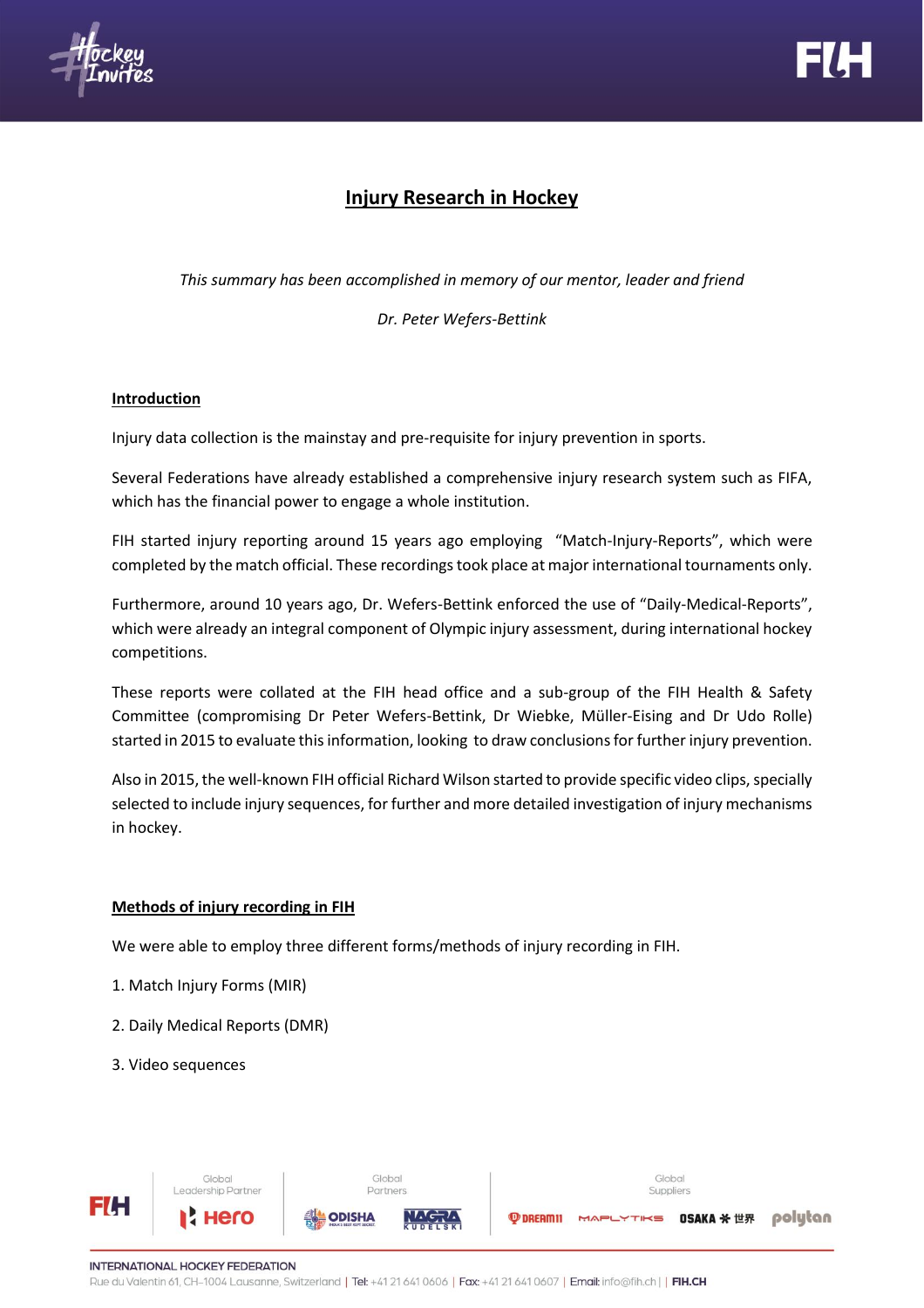



# **Injury Research in Hockey**

*This summary has been accomplished in memory of our mentor, leader and friend*

*Dr. Peter Wefers-Bettink*

### **Introduction**

Injury data collection is the mainstay and pre-requisite for injury prevention in sports.

Several Federations have already established a comprehensive injury research system such as FIFA, which has the financial power to engage a whole institution.

FIH started injury reporting around 15 years ago employing "Match-Injury-Reports", which were completed by the match official. These recordings took place at major international tournaments only.

Furthermore, around 10 years ago, Dr. Wefers-Bettink enforced the use of "Daily-Medical-Reports", which were already an integral component of Olympic injury assessment, during international hockey competitions.

These reports were collated at the FIH head office and a sub-group of the FIH Health & Safety Committee (compromising Dr Peter Wefers-Bettink, Dr Wiebke, Müller-Eising and Dr Udo Rolle) started in 2015 to evaluate this information, looking to draw conclusions for further injury prevention.

Also in 2015, the well-known FIH official Richard Wilson started to provide specific video clips, specially selected to include injury sequences, for further and more detailed investigation of injury mechanisms in hockey.

# **Methods of injury recording in FIH**

We were able to employ three different forms/methods of injury recording in FIH.

- 1. Match Injury Forms (MIR)
- 2. Daily Medical Reports (DMR)
- 3. Video sequences

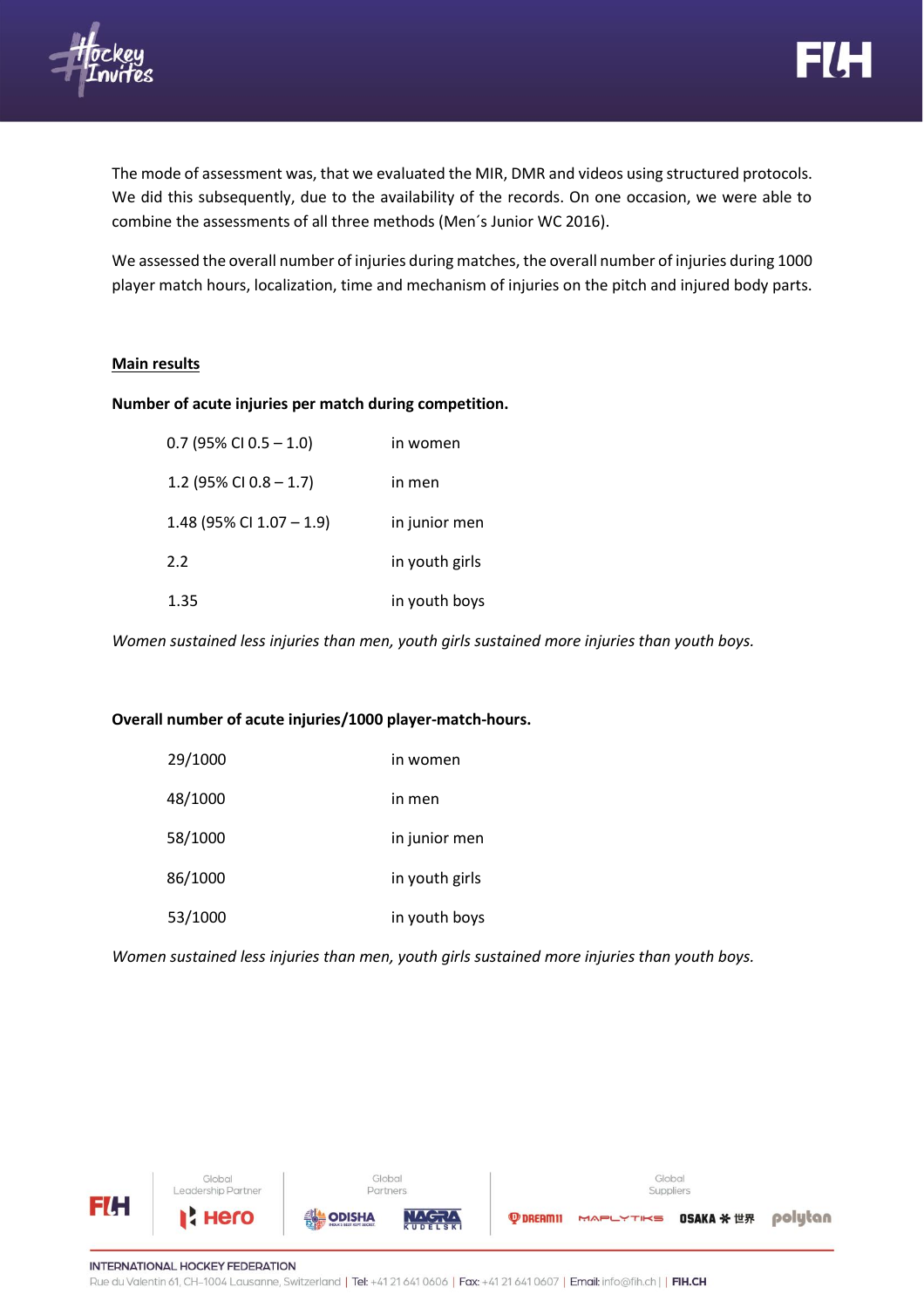

The mode of assessment was, that we evaluated the MIR, DMR and videos using structured protocols. We did this subsequently, due to the availability of the records. On one occasion, we were able to combine the assessments of all three methods (Men´s Junior WC 2016).

We assessed the overall number of injuries during matches, the overall number of injuries during 1000 player match hours, localization, time and mechanism of injuries on the pitch and injured body parts.

### **Main results**

### **Number of acute injuries per match during competition.**

| $0.7$ (95% CI 0.5 - 1.0)    | in women       |
|-----------------------------|----------------|
| 1.2 (95% CI 0.8 $-$ 1.7)    | in men         |
| 1.48 (95% CI $1.07 - 1.9$ ) | in junior men  |
| 2.2                         | in youth girls |
| 1.35                        | in youth boys  |

*Women sustained less injuries than men, youth girls sustained more injuries than youth boys.*

### **Overall number of acute injuries/1000 player-match-hours.**

| 29/1000 | in women       |
|---------|----------------|
| 48/1000 | in men         |
| 58/1000 | in junior men  |
| 86/1000 | in youth girls |
| 53/1000 | in youth boys  |

*Women sustained less injuries than men, youth girls sustained more injuries than youth boys.*



**INTERNATIONAL HOCKEY FEDERATION** Rue du Valentin 61, CH-1004 Lausanne, Switzerland | Tel: +41 21 641 0606 | Fax: +41 21 641 0607 | Email: info@fih.ch | | FIH.CH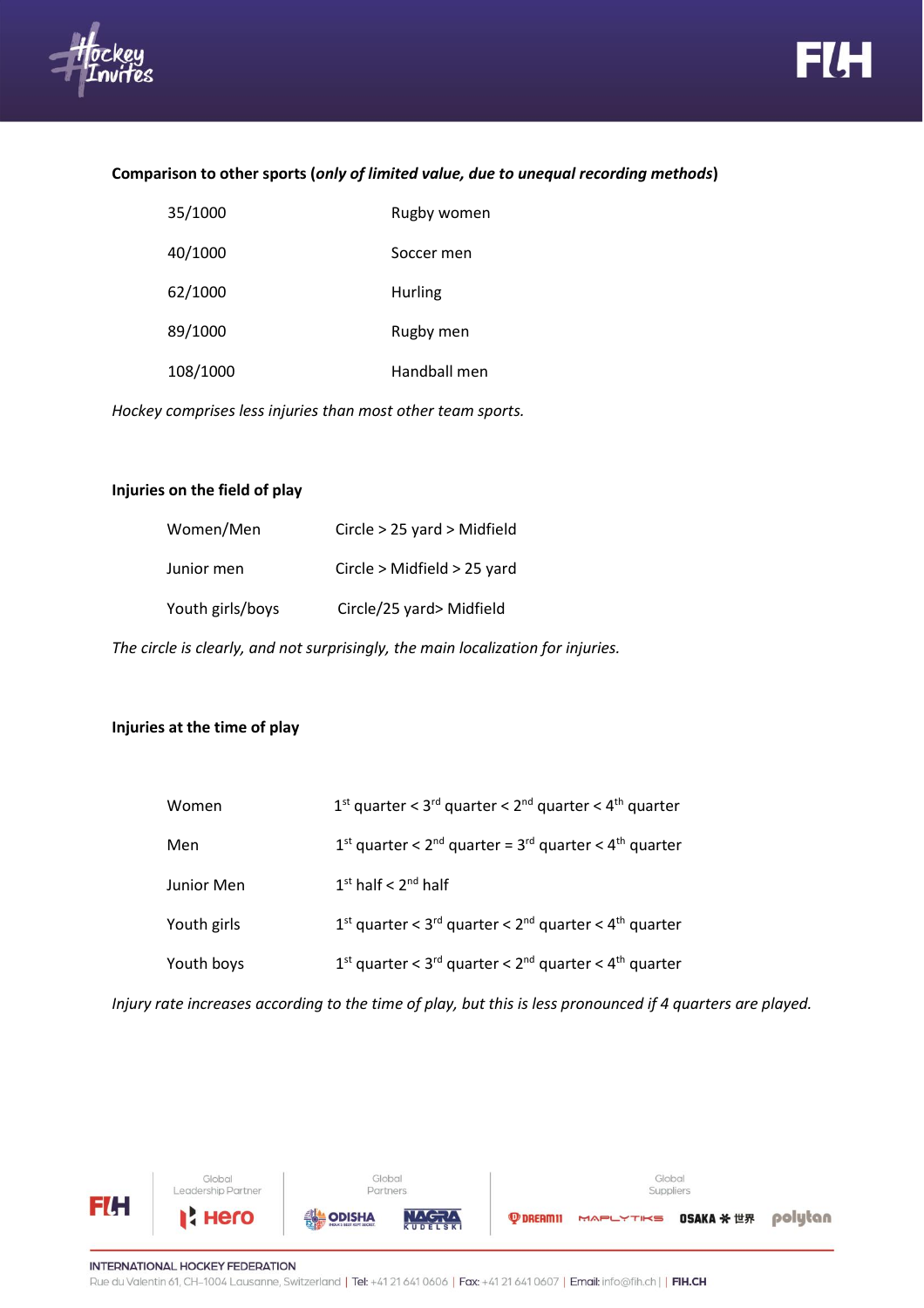



### **Comparison to other sports (***only of limited value, due to unequal recording methods***)**

| 35/1000  | Rugby women  |
|----------|--------------|
| 40/1000  | Soccer men   |
| 62/1000  | Hurling      |
| 89/1000  | Rugby men    |
| 108/1000 | Handball men |

*Hockey comprises less injuries than most other team sports.*

# **Injuries on the field of play**

| Women/Men        | Circle $> 25$ yard $>$ Midfield |
|------------------|---------------------------------|
| Junior men       | Circle > Midfield > 25 yard     |
| Youth girls/boys | Circle/25 yard> Midfield        |

*The circle is clearly, and not surprisingly, the main localization for injuries.*

# **Injuries at the time of play**

| Women       | $1st$ quarter < $3rd$ quarter < $2nd$ quarter < $4th$ quarter                               |
|-------------|---------------------------------------------------------------------------------------------|
| Men         | $1st$ quarter < $2nd$ quarter = $3rd$ quarter < $4th$ quarter                               |
| Junior Men  | $1st$ half < $2nd$ half                                                                     |
| Youth girls | $1st$ quarter < 3 <sup>rd</sup> quarter < 2 <sup>nd</sup> quarter < 4 <sup>th</sup> quarter |
| Youth boys  | $1st$ quarter < 3 <sup>rd</sup> quarter < 2 <sup>nd</sup> quarter < 4 <sup>th</sup> quarter |
|             |                                                                                             |

*Injury rate increases according to the time of play, but this is less pronounced if 4 quarters are played.*

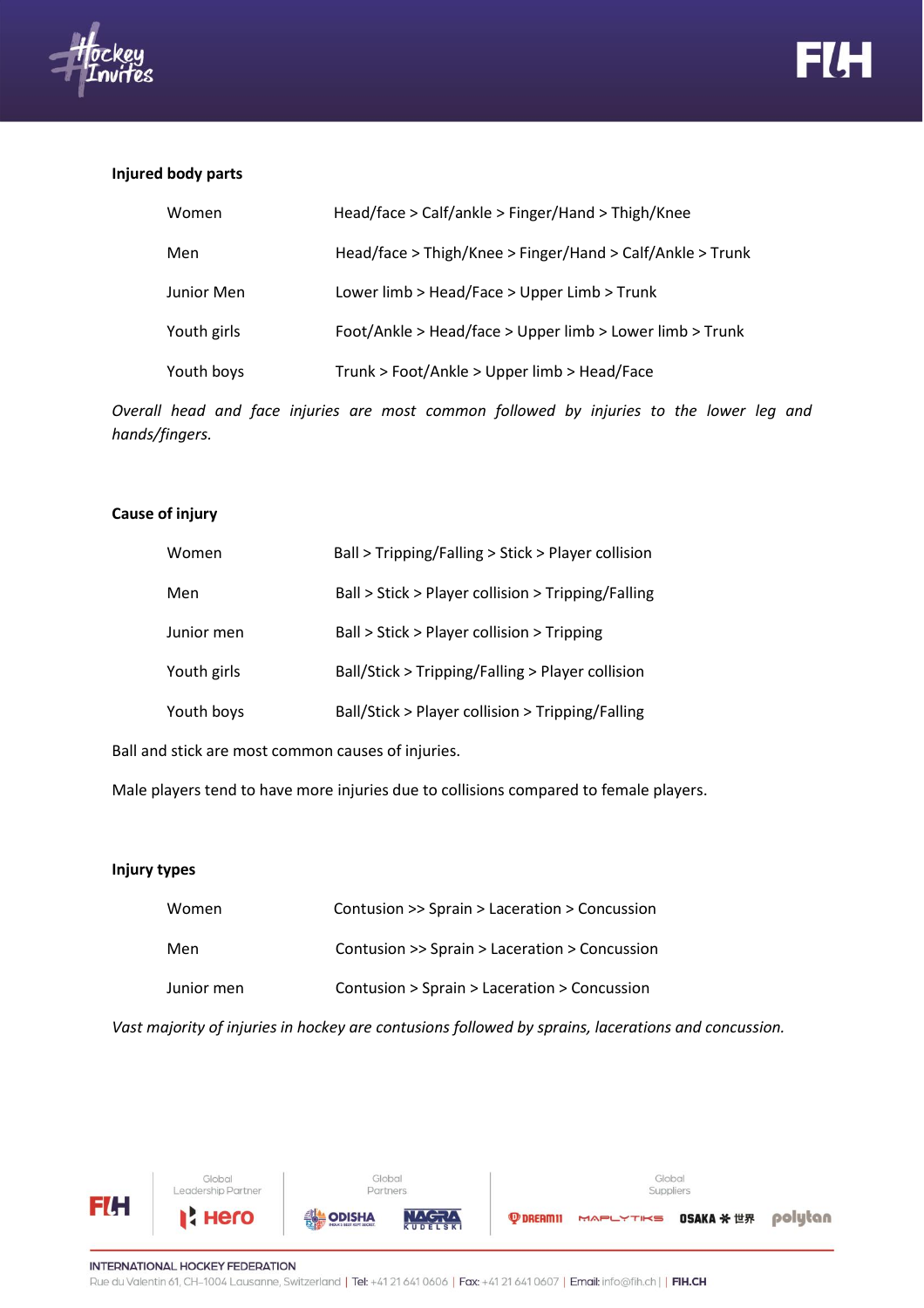



#### **Injured body parts**

| Women       | Head/face > Calf/ankle > Finger/Hand > Thigh/Knee         |
|-------------|-----------------------------------------------------------|
| Men         | Head/face > Thigh/Knee > Finger/Hand > Calf/Ankle > Trunk |
| Junior Men  | Lower limb > Head/Face > Upper Limb > Trunk               |
| Youth girls | Foot/Ankle > Head/face > Upper limb > Lower limb > Trunk  |
| Youth boys  | Trunk > Foot/Ankle > Upper limb > Head/Face               |

*Overall head and face injuries are most common followed by injuries to the lower leg and hands/fingers.*

# **Cause of injury**

| Women       | Ball > Tripping/Falling > Stick > Player collision |
|-------------|----------------------------------------------------|
| Men         | Ball > Stick > Player collision > Tripping/Falling |
| Junior men  | Ball > Stick > Player collision > Tripping         |
| Youth girls | Ball/Stick > Tripping/Falling > Player collision   |
| Youth boys  | Ball/Stick > Player collision > Tripping/Falling   |

Ball and stick are most common causes of injuries.

Male players tend to have more injuries due to collisions compared to female players.

#### **Injury types**

| Women      | Contusion >> Sprain > Laceration > Concussion |
|------------|-----------------------------------------------|
| Men        | Contusion >> Sprain > Laceration > Concussion |
| Junior men | Contusion > Sprain > Laceration > Concussion  |

*Vast majority of injuries in hockey are contusions followed by sprains, lacerations and concussion.*

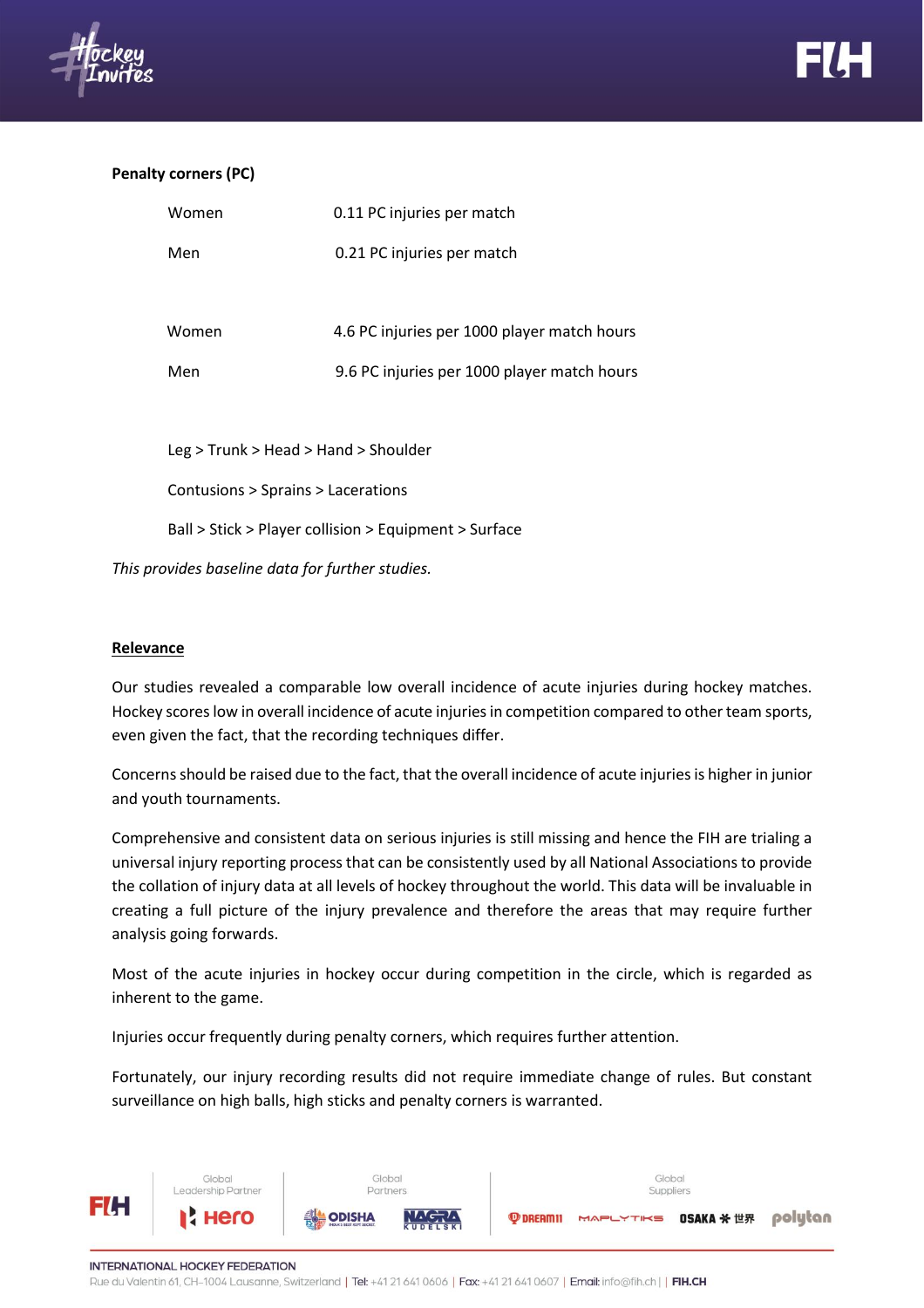

### **Penalty corners (PC)**

| Women                                  | 0.11 PC injuries per match                  |
|----------------------------------------|---------------------------------------------|
| Men                                    | 0.21 PC injuries per match                  |
|                                        |                                             |
| Women                                  | 4.6 PC injuries per 1000 player match hours |
| Men                                    | 9.6 PC injuries per 1000 player match hours |
|                                        |                                             |
|                                        |                                             |
| $Leg$ > Trunk > Head > Hand > Shoulder |                                             |
| Contusions > Sprains > Lacerations     |                                             |

Ball > Stick > Player collision > Equipment > Surface

*This provides baseline data for further studies.*

### **Relevance**

Our studies revealed a comparable low overall incidence of acute injuries during hockey matches. Hockey scores low in overall incidence of acute injuries in competition compared to other team sports, even given the fact, that the recording techniques differ.

Concerns should be raised due to the fact, that the overall incidence of acute injuries is higher in junior and youth tournaments.

Comprehensive and consistent data on serious injuries is still missing and hence the FIH are trialing a universal injury reporting process that can be consistently used by all National Associations to provide the collation of injury data at all levels of hockey throughout the world. This data will be invaluable in creating a full picture of the injury prevalence and therefore the areas that may require further analysis going forwards.

Most of the acute injuries in hockey occur during competition in the circle, which is regarded as inherent to the game.

Injuries occur frequently during penalty corners, which requires further attention.

Fortunately, our injury recording results did not require immediate change of rules. But constant surveillance on high balls, high sticks and penalty corners is warranted.